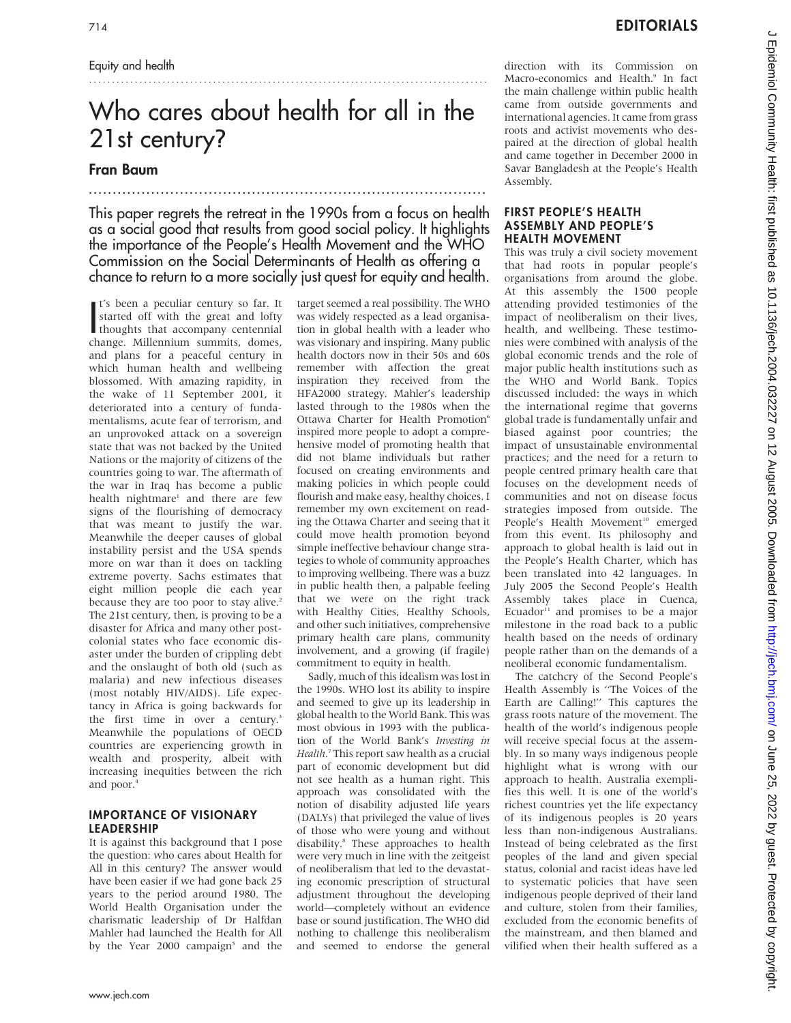Equity and health

# Who cares about health for all in the 21st century?

.......................................................................................

### Fran Baum

This paper regrets the retreat in the 1990s from a focus on health as a social good that results from good social policy. It highlights the importance of the People's Health Movement and the WHO Commission on the Social Determinants of Health as offering a chance to return to a more socially just quest for equity and health.

...................................................................................

I's been a pecular century so far. It<br>started off with the great and lofty<br>thoughts that accompany centennial<br>change Millennium cummite domes t's been a peculiar century so far. It started off with the great and lofty change. Millennium summits, domes, and plans for a peaceful century in which human health and wellbeing blossomed. With amazing rapidity, in the wake of 11 September 2001, it deteriorated into a century of fundamentalisms, acute fear of terrorism, and an unprovoked attack on a sovereign state that was not backed by the United Nations or the majority of citizens of the countries going to war. The aftermath of the war in Iraq has become a public health nightmare<sup>1</sup> and there are few signs of the flourishing of democracy that was meant to justify the war. Meanwhile the deeper causes of global instability persist and the USA spends more on war than it does on tackling extreme poverty. Sachs estimates that eight million people die each year because they are too poor to stay alive.<sup>2</sup> The 21st century, then, is proving to be a disaster for Africa and many other postcolonial states who face economic disaster under the burden of crippling debt and the onslaught of both old (such as malaria) and new infectious diseases (most notably HIV/AIDS). Life expectancy in Africa is going backwards for the first time in over a century.<sup>3</sup> Meanwhile the populations of OECD countries are experiencing growth in wealth and prosperity, albeit with increasing inequities between the rich and poor.<sup>4</sup>

### IMPORTANCE OF VISIONARY LEADERSHIP

It is against this background that I pose the question: who cares about Health for All in this century? The answer would have been easier if we had gone back 25 years to the period around 1980. The World Health Organisation under the charismatic leadership of Dr Halfdan Mahler had launched the Health for All by the Year 2000 campaign<sup>5</sup> and the target seemed a real possibility. The WHO was widely respected as a lead organisation in global health with a leader who was visionary and inspiring. Many public health doctors now in their 50s and 60s remember with affection the great inspiration they received from the HFA2000 strategy. Mahler's leadership lasted through to the 1980s when the Ottawa Charter for Health Promotion<sup>6</sup> inspired more people to adopt a comprehensive model of promoting health that did not blame individuals but rather focused on creating environments and making policies in which people could flourish and make easy, healthy choices. I remember my own excitement on reading the Ottawa Charter and seeing that it could move health promotion beyond simple ineffective behaviour change strategies to whole of community approaches to improving wellbeing. There was a buzz in public health then, a palpable feeling that we were on the right track with Healthy Cities, Healthy Schools, and other such initiatives, comprehensive primary health care plans, community involvement, and a growing (if fragile) commitment to equity in health.

Sadly, much of this idealism was lost in the 1990s. WHO lost its ability to inspire and seemed to give up its leadership in global health to the World Bank. This was most obvious in 1993 with the publication of the World Bank's Investing in Health.<sup>7</sup> This report saw health as a crucial part of economic development but did not see health as a human right. This approach was consolidated with the notion of disability adjusted life years (DALYs) that privileged the value of lives of those who were young and without disability.8 These approaches to health were very much in line with the zeitgeist of neoliberalism that led to the devastating economic prescription of structural adjustment throughout the developing world—completely without an evidence base or sound justification. The WHO did nothing to challenge this neoliberalism and seemed to endorse the general

direction with its Commission on Macro-economics and Health.<sup>9</sup> In fact the main challenge within public health came from outside governments and international agencies. It came from grass roots and activist movements who despaired at the direction of global health and came together in December 2000 in Savar Bangladesh at the People's Health Assembly.

### FIRST PEOPLE'S HEALTH ASSEMBLY AND PEOPLE'S HEALTH MOVEMENT

This was truly a civil society movement that had roots in popular people's organisations from around the globe. At this assembly the 1500 people attending provided testimonies of the impact of neoliberalism on their lives, health, and wellbeing. These testimonies were combined with analysis of the global economic trends and the role of major public health institutions such as the WHO and World Bank. Topics discussed included: the ways in which the international regime that governs global trade is fundamentally unfair and biased against poor countries; the impact of unsustainable environmental practices; and the need for a return to people centred primary health care that focuses on the development needs of communities and not on disease focus strategies imposed from outside. The People's Health Movement<sup>10</sup> emerged from this event. Its philosophy and approach to global health is laid out in the People's Health Charter, which has been translated into 42 languages. In July 2005 the Second People's Health Assembly takes place in Cuenca, Ecuador $^{11}$  and promises to be a major milestone in the road back to a public health based on the needs of ordinary people rather than on the demands of a neoliberal economic fundamentalism.

The catchcry of the Second People's Health Assembly is ''The Voices of the Earth are Calling!'' This captures the grass roots nature of the movement. The health of the world's indigenous people will receive special focus at the assembly. In so many ways indigenous people highlight what is wrong with our approach to health. Australia exemplifies this well. It is one of the world's richest countries yet the life expectancy of its indigenous peoples is 20 years less than non-indigenous Australians. Instead of being celebrated as the first peoples of the land and given special status, colonial and racist ideas have led to systematic policies that have seen indigenous people deprived of their land and culture, stolen from their families, excluded from the economic benefits of the mainstream, and then blamed and vilified when their health suffered as a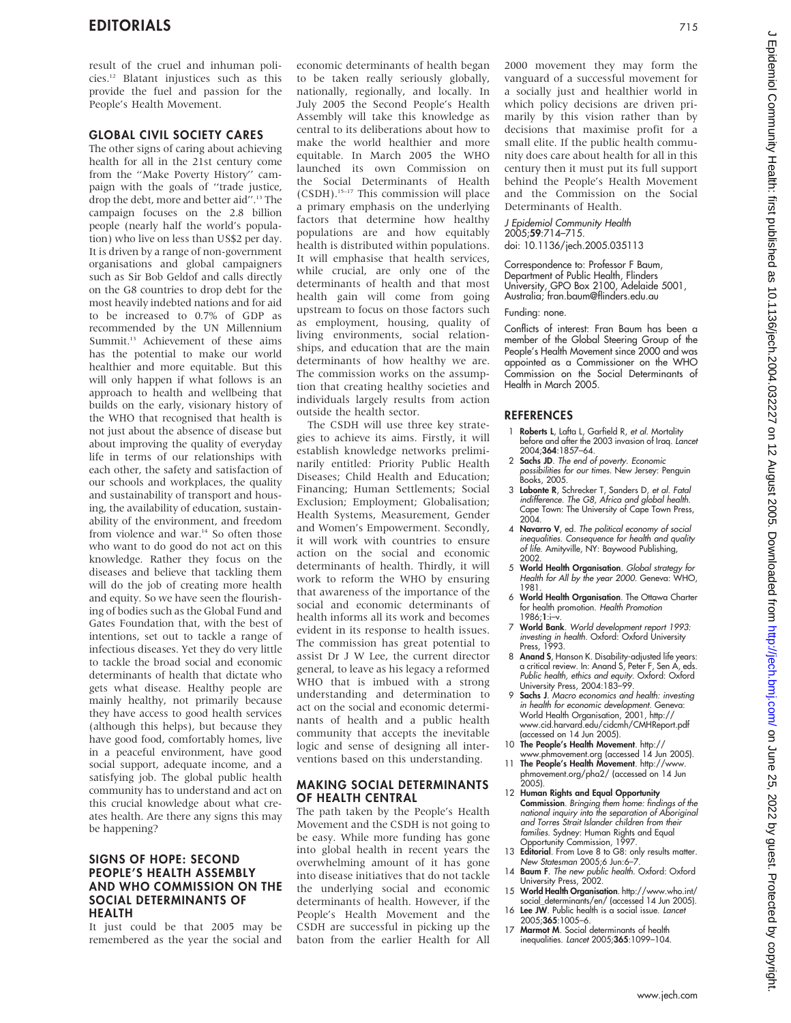result of the cruel and inhuman policies.12 Blatant injustices such as this provide the fuel and passion for the People's Health Movement.

### GLOBAL CIVIL SOCIETY CARES

The other signs of caring about achieving health for all in the 21st century come from the ''Make Poverty History'' campaign with the goals of ''trade justice, drop the debt, more and better aid''.13 The campaign focuses on the 2.8 billion people (nearly half the world's population) who live on less than US\$2 per day. It is driven by a range of non-government organisations and global campaigners such as Sir Bob Geldof and calls directly on the G8 countries to drop debt for the most heavily indebted nations and for aid to be increased to 0.7% of GDP as recommended by the UN Millennium Summit.<sup>13</sup> Achievement of these aims has the potential to make our world healthier and more equitable. But this will only happen if what follows is an approach to health and wellbeing that builds on the early, visionary history of the WHO that recognised that health is not just about the absence of disease but about improving the quality of everyday life in terms of our relationships with each other, the safety and satisfaction of our schools and workplaces, the quality and sustainability of transport and housing, the availability of education, sustainability of the environment, and freedom from violence and war.<sup>14</sup> So often those who want to do good do not act on this knowledge. Rather they focus on the diseases and believe that tackling them will do the job of creating more health and equity. So we have seen the flourishing of bodies such as the Global Fund and Gates Foundation that, with the best of intentions, set out to tackle a range of infectious diseases. Yet they do very little to tackle the broad social and economic determinants of health that dictate who gets what disease. Healthy people are mainly healthy, not primarily because they have access to good health services (although this helps), but because they have good food, comfortably homes, live in a peaceful environment, have good social support, adequate income, and a satisfying job. The global public health community has to understand and act on this crucial knowledge about what creates health. Are there any signs this may be happening?

### SIGNS OF HOPE: SECOND PEOPLE'S HEALTH ASSEMBLY AND WHO COMMISSION ON THE SOCIAL DETERMINANTS OF HEALTH

It just could be that 2005 may be remembered as the year the social and

economic determinants of health began to be taken really seriously globally, nationally, regionally, and locally. In July 2005 the Second People's Health Assembly will take this knowledge as central to its deliberations about how to make the world healthier and more equitable. In March 2005 the WHO launched its own Commission on the Social Determinants of Health (CSDH).15–17 This commission will place a primary emphasis on the underlying factors that determine how healthy populations are and how equitably health is distributed within populations. It will emphasise that health services, while crucial, are only one of the determinants of health and that most health gain will come from going upstream to focus on those factors such as employment, housing, quality of living environments, social relationships, and education that are the main determinants of how healthy we are. The commission works on the assumption that creating healthy societies and individuals largely results from action outside the health sector.

The CSDH will use three key strategies to achieve its aims. Firstly, it will establish knowledge networks preliminarily entitled: Priority Public Health Diseases; Child Health and Education; Financing; Human Settlements; Social Exclusion; Employment; Globalisation; Health Systems, Measurement, Gender and Women's Empowerment. Secondly, it will work with countries to ensure action on the social and economic determinants of health. Thirdly, it will work to reform the WHO by ensuring that awareness of the importance of the social and economic determinants of health informs all its work and becomes evident in its response to health issues. The commission has great potential to assist Dr J W Lee, the current director general, to leave as his legacy a reformed WHO that is imbued with a strong understanding and determination to act on the social and economic determinants of health and a public health community that accepts the inevitable logic and sense of designing all interventions based on this understanding.

### MAKING SOCIAL DETERMINANTS OF HEALTH CENTRAL

The path taken by the People's Health Movement and the CSDH is not going to be easy. While more funding has gone into global health in recent years the overwhelming amount of it has gone into disease initiatives that do not tackle the underlying social and economic determinants of health. However, if the People's Health Movement and the CSDH are successful in picking up the baton from the earlier Health for All

2000 movement they may form the vanguard of a successful movement for a socially just and healthier world in which policy decisions are driven primarily by this vision rather than by decisions that maximise profit for a small elite. If the public health community does care about health for all in this century then it must put its full support behind the People's Health Movement and the Commission on the Social Determinants of Health.

J Epidemiol Community Health 2005;59:714–715. doi: 10.1136/jech.2005.035113

Correspondence to: Professor F Baum, Department of Public Health, Flinders University, GPO Box 2100, Adelaide 5001, Australia; fran.baum@flinders.edu.au

#### Funding: none.

Conflicts of interest: Fran Baum has been a member of the Global Steering Group of the People's Health Movement since 2000 and was appointed as a Commissioner on the WHO Commission on the Social Determinants of Health in March 2005.

### **REFERENCES**

- 1 Roberts L, Lafta L, Garfield R, et al. Mortality before and after the 2003 invasion of Iraq. Lancet 2004;364:1857–64.
- 2 Sachs JD. The end of poverty. Economic possibilities for our times. New Jersey: Penguin Books, 2005.
- 3 Labonte R, Schrecker T, Sanders D, et al. Fatal indifference. The G8, Africa and global health. Cape Town: The University of Cape Town Press, 2004.
- 4 Navarro V, ed. The political economy of social inequalities. Consequence for health and quality of life. Amityville, NY: Baywood Publishing, 2002.
- 5 World Health Organisation. Global strategy for Health for All by the year 2000. Geneva: WHO, 1981.
- 6 World Health Organisation. The Ottawa Charter for health promotion. Health Promotion 1986;1:i–v.
- 7 World Bank. World development report 1993: investing in health. Oxford: Oxford University Press, 1993.
- 8 Anand S, Hanson K. Disability-adjusted life years: a critical review. In: Anand S, Peter F, Sen A, eds. Public health, ethics and equity. Oxford: Oxford University Press, 2004:183–99.
- 9 Sachs J. Macro economics and health: investing in health for economic development. Geneva: World Health Organisation, 2001, http:// www.cid.harvard.edu/cidcmh/CMHReport.pdf (accessed on 14 Jun 2005).
- 10 The People's Health Movement. http://
- www.phmovement.org (accessed 14 Jun 2005). 11 The People's Health Movement. http://www. phmovement.org/pha2/ (accessed on 14 Jun 2005).
- 12 Human Rights and Equal Opportunity Commission. Bringing them home: findings of the national inquiry into the separation of Aboriginal and Torres Strait Islander children from their families. Sydney: Human Rights and Equal Opportunity Commission, 1997.
- 13 Editorial. From Love 8 to G8: only results matter. New Statesman 2005;6 Jun:6-7
- 14 Baum F. The new public health. Oxford: Oxford University Press, 2002.
- 15 World Health Organisation. http://www.who.int/ social\_determinants/en/ (accessed 14 Jun 2005). Lee JW. Public health is a social issue. Lancet
- 2005;365:1005–6. 17 Marmot M. Social determinants of health
- inequalities. Lancet 2005;365:1099–104.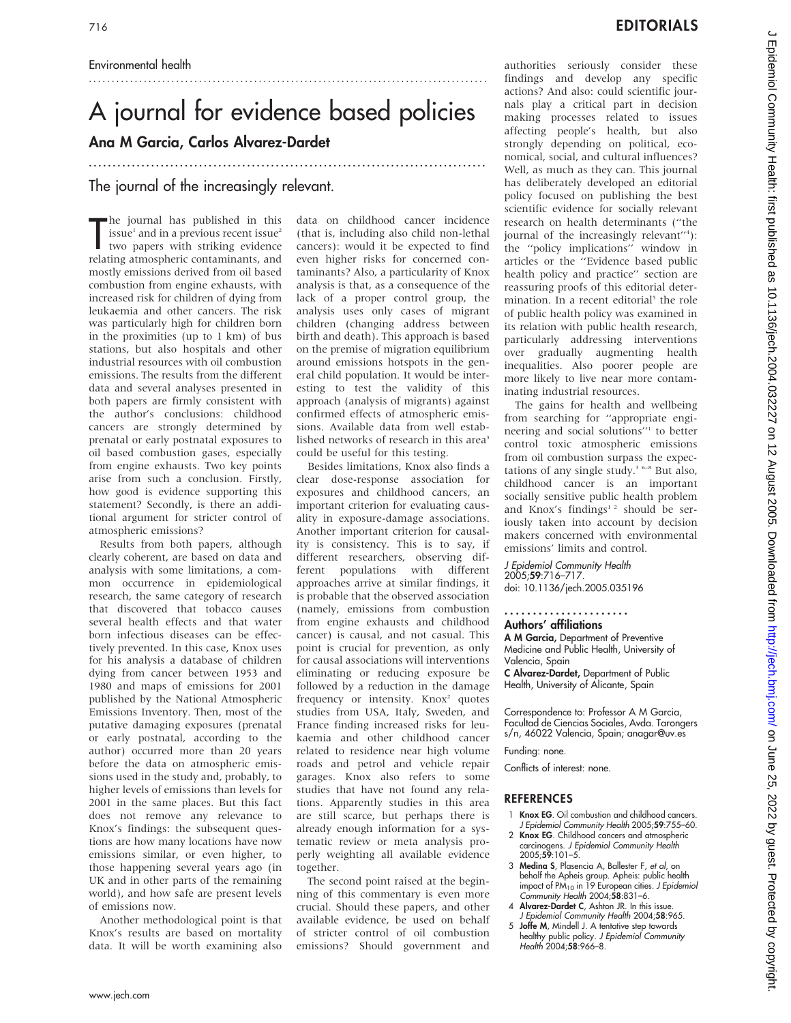### Environmental health

## A journal for evidence based policies Ana M Garcia, Carlos Alvarez-Dardet

.......................................................................................

## ...................................................................................

### The journal of the increasingly relevant.

The journal has published in this<br>
issue<sup>1</sup> and in a previous recent issue<sup>2</sup><br>
two papers with striking evidence<br>
relating atmospheric contaminants, and he journal has published in this issue<sup>1</sup> and in a previous recent issue<sup>2</sup> two papers with striking evidence mostly emissions derived from oil based combustion from engine exhausts, with increased risk for children of dying from leukaemia and other cancers. The risk was particularly high for children born in the proximities (up to 1 km) of bus stations, but also hospitals and other industrial resources with oil combustion emissions. The results from the different data and several analyses presented in both papers are firmly consistent with the author's conclusions: childhood cancers are strongly determined by prenatal or early postnatal exposures to oil based combustion gases, especially from engine exhausts. Two key points arise from such a conclusion. Firstly, how good is evidence supporting this statement? Secondly, is there an additional argument for stricter control of atmospheric emissions?

Results from both papers, although clearly coherent, are based on data and analysis with some limitations, a common occurrence in epidemiological research, the same category of research that discovered that tobacco causes several health effects and that water born infectious diseases can be effectively prevented. In this case, Knox uses for his analysis a database of children dying from cancer between 1953 and 1980 and maps of emissions for 2001 published by the National Atmospheric Emissions Inventory. Then, most of the putative damaging exposures (prenatal or early postnatal, according to the author) occurred more than 20 years before the data on atmospheric emissions used in the study and, probably, to higher levels of emissions than levels for 2001 in the same places. But this fact does not remove any relevance to Knox's findings: the subsequent questions are how many locations have now emissions similar, or even higher, to those happening several years ago (in UK and in other parts of the remaining world), and how safe are present levels of emissions now.

Another methodological point is that Knox's results are based on mortality data. It will be worth examining also data on childhood cancer incidence (that is, including also child non-lethal cancers): would it be expected to find even higher risks for concerned contaminants? Also, a particularity of Knox analysis is that, as a consequence of the lack of a proper control group, the analysis uses only cases of migrant children (changing address between birth and death). This approach is based on the premise of migration equilibrium around emissions hotspots in the general child population. It would be interesting to test the validity of this approach (analysis of migrants) against confirmed effects of atmospheric emissions. Available data from well established networks of research in this area<sup>3</sup> could be useful for this testing.

Besides limitations, Knox also finds a clear dose-response association for exposures and childhood cancers, an important criterion for evaluating causality in exposure-damage associations. Another important criterion for causality is consistency. This is to say, if different researchers, observing different populations with different approaches arrive at similar findings, it is probable that the observed association (namely, emissions from combustion from engine exhausts and childhood cancer) is causal, and not casual. This point is crucial for prevention, as only for causal associations will interventions eliminating or reducing exposure be followed by a reduction in the damage frequency or intensity. Knox<sup>2</sup> quotes studies from USA, Italy, Sweden, and France finding increased risks for leukaemia and other childhood cancer related to residence near high volume roads and petrol and vehicle repair garages. Knox also refers to some studies that have not found any relations. Apparently studies in this area are still scarce, but perhaps there is already enough information for a systematic review or meta analysis properly weighting all available evidence together.

The second point raised at the beginning of this commentary is even more crucial. Should these papers, and other available evidence, be used on behalf of stricter control of oil combustion emissions? Should government and

authorities seriously consider these findings and develop any specific actions? And also: could scientific journals play a critical part in decision making processes related to issues affecting people's health, but also strongly depending on political, economical, social, and cultural influences? Well, as much as they can. This journal has deliberately developed an editorial policy focused on publishing the best scientific evidence for socially relevant research on health determinants (''the journal of the increasingly relevant''4 ): the ''policy implications'' window in articles or the ''Evidence based public health policy and practice'' section are reassuring proofs of this editorial determination. In a recent editorial<sup>5</sup> the role of public health policy was examined in its relation with public health research, particularly addressing interventions over gradually augmenting health inequalities. Also poorer people are more likely to live near more contaminating industrial resources.

The gains for health and wellbeing from searching for ''appropriate engineering and social solutions''1 to better control toxic atmospheric emissions from oil combustion surpass the expectations of any single study. $3^{6-8}$  But also, childhood cancer is an important socially sensitive public health problem and Knox's findings<sup> $12$ </sup> should be seriously taken into account by decision makers concerned with environmental emissions' limits and control.

J Epidemiol Community Health 2005;59:716–717. doi: 10.1136/jech.2005.035196

### ......................

Authors' affiliations

A M Garcia, Department of Preventive Medicine and Public Health, University of Valencia, Spain

C Alvarez-Dardet, Department of Public Health, University of Alicante, Spain

Correspondence to: Professor A M Garcia, Facultad de Ciencias Sociales, Avda. Tarongers s/n, 46022 Valencia, Spain; anagar@uv.es

Funding: none.

Conflicts of interest: none.

### REFERENCES

- 1 Knox EG. Oil combustion and childhood cancers. J Epidemiol Community Health 2005;59:755–60.
- 2 Knox EG. Childhood cancers and atmospheric carcinogens. J Epidemiol Community Health  $2005:59:101-5$ .
- 3 Medina S, Plasencia A, Ballester F, et al, on behalf the Apheis group. Apheis: public health impact of  $PM_{10}$  in 19 European cities. J Epidemiol Community Health 2004;58:831–6.
- 4 Alvarez-Dardet C, Ashton JR. In this issue.
- J Epidemiol Community Health 2004;58:965. 5 Joffe M, Mindell J. A tentative step towards healthy public policy. J Epidemiol Community Health 2004;58:966–8.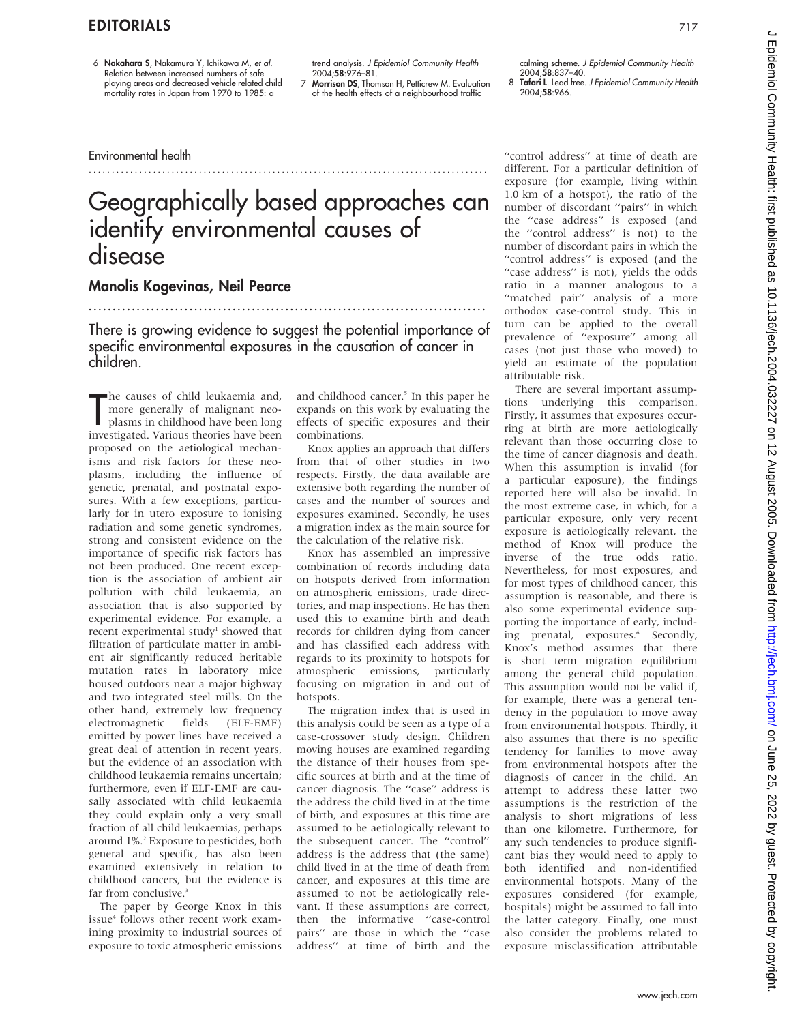## **EDITORIALS** 717

6 Nakahara S, Nakamura Y, Ichikawa M, et al. Relation between increased numbers of safe playing areas and decreased vehicle related child mortality rates in Japan from 1970 to 1985: a

trend analysis. J Epidemiol Community Health 2004;58:976–81.

7 Morrison DS, Thomson H, Petticrew M. Evaluation of the health effects of a neighbourhood traffic

calming scheme. *J Epidemiol Community Health*<br>2004;**58**:837–40.

8 Tafari L. Lead free. J Epidemiol Community Health 2004;58:966.

### Environmental health

# Geographically based approaches can identify environmental causes of disease

.......................................................................................

### Manolis Kogevinas, Neil Pearce

There is growing evidence to suggest the potential importance of specific environmental exposures in the causation of cancer in children.

The causes of child leukaemia and,<br>
more generally of malignant neo-<br>
plasms in childhood have been long<br>
investigated. Various theories have been he causes of child leukaemia and, more generally of malignant neoplasms in childhood have been long proposed on the aetiological mechanisms and risk factors for these neoplasms, including the influence of genetic, prenatal, and postnatal exposures. With a few exceptions, particularly for in utero exposure to ionising radiation and some genetic syndromes, strong and consistent evidence on the importance of specific risk factors has not been produced. One recent exception is the association of ambient air pollution with child leukaemia, an association that is also supported by experimental evidence. For example, a recent experimental study<sup>1</sup> showed that filtration of particulate matter in ambient air significantly reduced heritable mutation rates in laboratory mice housed outdoors near a major highway and two integrated steel mills. On the other hand, extremely low frequency electromagnetic fields (ELF-EMF) emitted by power lines have received a great deal of attention in recent years, but the evidence of an association with childhood leukaemia remains uncertain; furthermore, even if ELF-EMF are causally associated with child leukaemia they could explain only a very small fraction of all child leukaemias, perhaps around 1%.2 Exposure to pesticides, both general and specific, has also been examined extensively in relation to childhood cancers, but the evidence is far from conclusive.<sup>3</sup>

The paper by George Knox in this issue<sup>4</sup> follows other recent work examining proximity to industrial sources of exposure to toxic atmospheric emissions and childhood cancer.<sup>5</sup> In this paper he expands on this work by evaluating the effects of specific exposures and their combinations.

...................................................................................

Knox applies an approach that differs from that of other studies in two respects. Firstly, the data available are extensive both regarding the number of cases and the number of sources and exposures examined. Secondly, he uses a migration index as the main source for the calculation of the relative risk.

Knox has assembled an impressive combination of records including data on hotspots derived from information on atmospheric emissions, trade directories, and map inspections. He has then used this to examine birth and death records for children dying from cancer and has classified each address with regards to its proximity to hotspots for atmospheric emissions, particularly focusing on migration in and out of hotspots.

The migration index that is used in this analysis could be seen as a type of a case-crossover study design. Children moving houses are examined regarding the distance of their houses from specific sources at birth and at the time of cancer diagnosis. The ''case'' address is the address the child lived in at the time of birth, and exposures at this time are assumed to be aetiologically relevant to the subsequent cancer. The ''control'' address is the address that (the same) child lived in at the time of death from cancer, and exposures at this time are assumed to not be aetiologically relevant. If these assumptions are correct, then the informative ''case-control pairs'' are those in which the ''case address'' at time of birth and the

''control address'' at time of death are different. For a particular definition of exposure (for example, living within 1.0 km of a hotspot), the ratio of the number of discordant ''pairs'' in which the ''case address'' is exposed (and the ''control address'' is not) to the number of discordant pairs in which the "control address" is exposed (and the "case address" is not), yields the odds ratio in a manner analogous to a "matched pair" analysis of a more orthodox case-control study. This in turn can be applied to the overall prevalence of ''exposure'' among all cases (not just those who moved) to yield an estimate of the population attributable risk.

There are several important assumptions underlying this comparison. Firstly, it assumes that exposures occurring at birth are more aetiologically relevant than those occurring close to the time of cancer diagnosis and death. When this assumption is invalid (for a particular exposure), the findings reported here will also be invalid. In the most extreme case, in which, for a particular exposure, only very recent exposure is aetiologically relevant, the method of Knox will produce the inverse of the true odds ratio. Nevertheless, for most exposures, and for most types of childhood cancer, this assumption is reasonable, and there is also some experimental evidence supporting the importance of early, including prenatal, exposures.<sup>6</sup> Secondly, Knox's method assumes that there is short term migration equilibrium among the general child population. This assumption would not be valid if, for example, there was a general tendency in the population to move away from environmental hotspots. Thirdly, it also assumes that there is no specific tendency for families to move away from environmental hotspots after the diagnosis of cancer in the child. An attempt to address these latter two assumptions is the restriction of the analysis to short migrations of less than one kilometre. Furthermore, for any such tendencies to produce significant bias they would need to apply to both identified and non-identified environmental hotspots. Many of the exposures considered (for example, hospitals) might be assumed to fall into the latter category. Finally, one must also consider the problems related to exposure misclassification attributable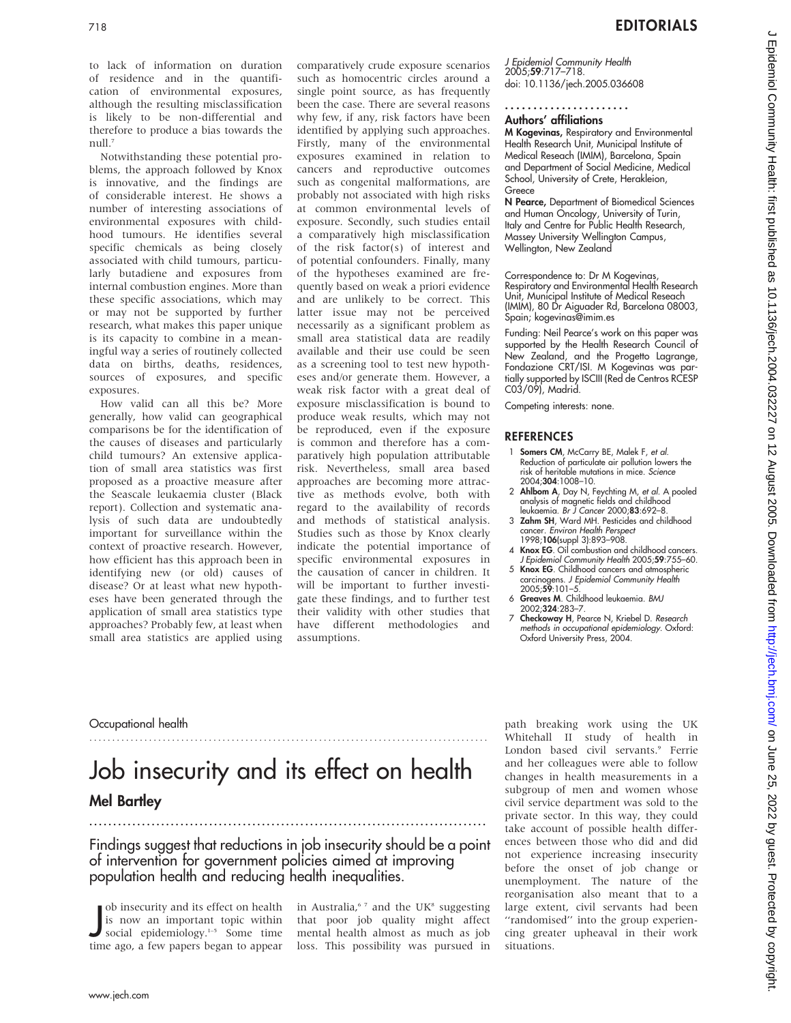to lack of information on duration of residence and in the quantification of environmental exposures,

although the resulting misclassification is likely to be non-differential and therefore to produce a bias towards the null.7

Notwithstanding these potential problems, the approach followed by Knox is innovative, and the findings are of considerable interest. He shows a number of interesting associations of environmental exposures with childhood tumours. He identifies several specific chemicals as being closely associated with child tumours, particularly butadiene and exposures from internal combustion engines. More than these specific associations, which may or may not be supported by further research, what makes this paper unique is its capacity to combine in a meaningful way a series of routinely collected data on births, deaths, residences, sources of exposures, and specific exposures.

How valid can all this be? More generally, how valid can geographical comparisons be for the identification of the causes of diseases and particularly child tumours? An extensive application of small area statistics was first proposed as a proactive measure after the Seascale leukaemia cluster (Black report). Collection and systematic analysis of such data are undoubtedly important for surveillance within the context of proactive research. However, how efficient has this approach been in identifying new (or old) causes of disease? Or at least what new hypotheses have been generated through the application of small area statistics type approaches? Probably few, at least when small area statistics are applied using

such as homocentric circles around a single point source, as has frequently been the case. There are several reasons why few, if any, risk factors have been identified by applying such approaches. Firstly, many of the environmental exposures examined in relation to cancers and reproductive outcomes such as congenital malformations, are probably not associated with high risks at common environmental levels of exposure. Secondly, such studies entail a comparatively high misclassification of the risk factor(s) of interest and of potential confounders. Finally, many of the hypotheses examined are frequently based on weak a priori evidence and are unlikely to be correct. This latter issue may not be perceived necessarily as a significant problem as small area statistical data are readily available and their use could be seen as a screening tool to test new hypotheses and/or generate them. However, a weak risk factor with a great deal of exposure misclassification is bound to produce weak results, which may not be reproduced, even if the exposure is common and therefore has a comparatively high population attributable risk. Nevertheless, small area based approaches are becoming more attractive as methods evolve, both with regard to the availability of records and methods of statistical analysis. Studies such as those by Knox clearly indicate the potential importance of specific environmental exposures in the causation of cancer in children. It will be important to further investigate these findings, and to further test their validity with other studies that have different methodologies and assumptions.

comparatively crude exposure scenarios

J Epidemiol Community Health<br>2005;**59**:717–718. doi: 10.1136/jech.2005.036608

......................

## Authors' affiliations

M Kogevinas, Respiratory and Environmental Health Research Unit, Municipal Institute of Medical Reseach (IMIM), Barcelona, Spain and Department of Social Medicine, Medical School, University of Crete, Herakleion, Greece

N Pearce, Department of Biomedical Sciences and Human Oncology, University of Turin, Italy and Centre for Public Health Research, Massey University Wellington Campus, Wellington, New Zealand

Correspondence to: Dr M Kogevinas, Respiratory and Environmental Health Research Unit, Municipal Institute of Medical Reseach (IMIM), 80 Dr Aiguader Rd, Barcelona 08003, Spain; kogevinas@imim.es

Funding: Neil Pearce's work on this paper was supported by the Health Research Council of New Zealand, and the Progetto Lagrange, Fondazione CRT/ISI. M Kogevinas was partially supported by ISCIII (Red de Centros RCESP C03/09), Madrid.

Competing interests: none.

### REFERENCES

- 1 Somers CM, McCarry BE, Malek F, et al. Reduction of particulate air pollution lowers the risk of heritable mutations in mice. Science 2004;304:1008–10.
- 2 Ahlbom A, Day N, Feychting M, *et al.* A pooled<br>analysis of magnetic fields and childhood<br>leukaemia. *Br J Cancer* 2000;**83**:692–8.
- 3 Zahm SH, Ward MH. Pesticides and childhood cancer. Environ Health Perspect
- 1998;106(suppl 3):893–908. 4 Knox EG. Oil combustion and childhood cancers. J Epidemiol Community Health 2005;59:755-60.
- 5 Knox EG. Childhood cancers and atmospheric carcinogens. *J Epidemiol Community Health*<br>2005;**59**:101–5.
- 6 Greaves M. Childhood leukaemia. BMJ 2002;324:283–7.
- 7 Checkoway H, Pearce N, Kriebel D. Research methods in occupational epidemiology. Oxford: Oxford University Press, 2004.

### Occupational health

## Job insecurity and its effect on health Mel Bartley

.......................................................................................

## Findings suggest that reductions in job insecurity should be a point of intervention for government policies aimed at improving population health and reducing health inequalities.

...................................................................................

Job insecurity and its effect on health<br>is now an important topic within<br>social epidemiology.<sup>1-5</sup> Some time<br>time ago, a few papers began to appear ob insecurity and its effect on health is now an important topic within social epidemiology.<sup>1-5</sup> Some time

in Australia, $67$  and the UK $8$  suggesting that poor job quality might affect mental health almost as much as job loss. This possibility was pursued in path breaking work using the UK Whitehall II study of health in London based civil servants.<sup>9</sup> Ferrie and her colleagues were able to follow changes in health measurements in a subgroup of men and women whose civil service department was sold to the private sector. In this way, they could take account of possible health differences between those who did and did not experience increasing insecurity before the onset of job change or unemployment. The nature of the reorganisation also meant that to a large extent, civil servants had been ''randomised'' into the group experiencing greater upheaval in their work situations.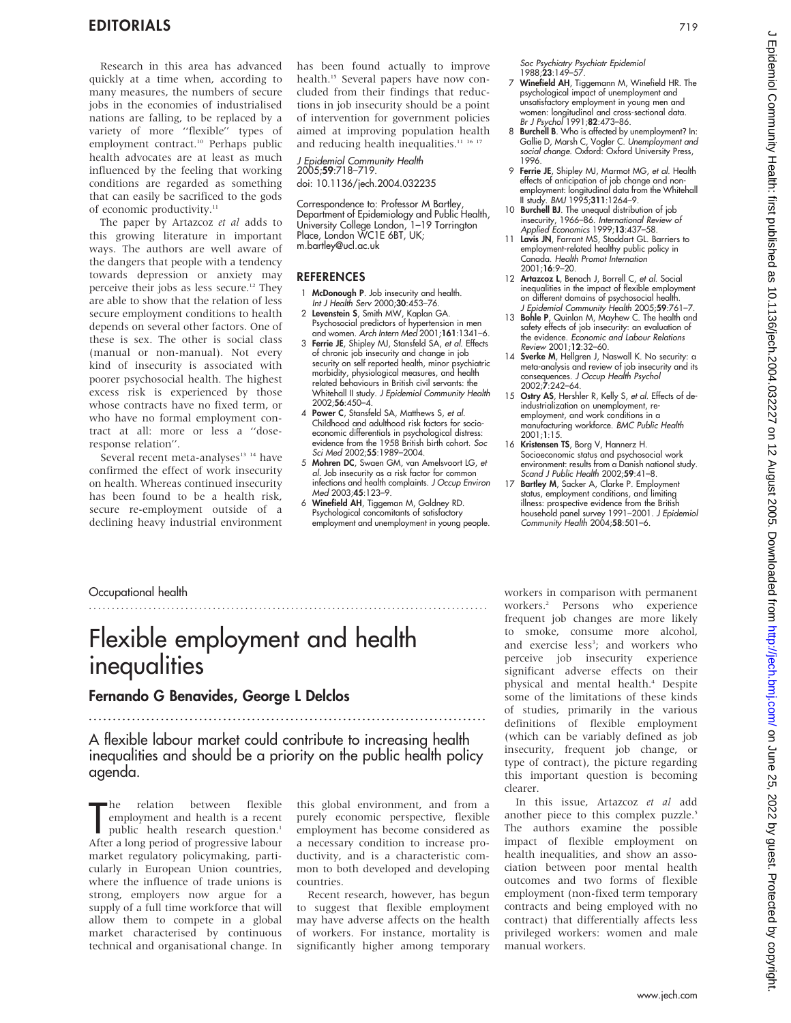Research in this area has advanced quickly at a time when, according to many measures, the numbers of secure jobs in the economies of industrialised nations are falling, to be replaced by a variety of more ''flexible'' types of employment contract.10 Perhaps public health advocates are at least as much influenced by the feeling that working conditions are regarded as something that can easily be sacrificed to the gods of economic productivity.<sup>11</sup>

The paper by Artazcoz et al adds to this growing literature in important ways. The authors are well aware of the dangers that people with a tendency towards depression or anxiety may perceive their jobs as less secure.<sup>12</sup> They are able to show that the relation of less secure employment conditions to health depends on several other factors. One of these is sex. The other is social class (manual or non-manual). Not every kind of insecurity is associated with poorer psychosocial health. The highest excess risk is experienced by those whose contracts have no fixed term, or who have no formal employment contract at all: more or less a ''doseresponse relation''.

Several recent meta-analyses $13/14$  have confirmed the effect of work insecurity on health. Whereas continued insecurity has been found to be a health risk, secure re-employment outside of a declining heavy industrial environment has been found actually to improve health.<sup>15</sup> Several papers have now concluded from their findings that reductions in job insecurity should be a point of intervention for government policies aimed at improving population health and reducing health inequalities.<sup>11 16 17</sup>

J Epidemiol Community Health 2005;59:718–719. doi: 10.1136/jech.2004.032235

Correspondence to: Professor M Bartley, Department of Epidemiology and Public Health, University College London, 1–19 Torrington Place, London WC1E 6BT, UK; m.bartley@ucl.ac.uk

### **REFERENCES**

- 1 **McDonough P**. Job insecurity and health. Int J Health Serv 2000;30:453–76.
- 2 Levenstein S, Smith MW, Kaplan GA. Psychosocial predictors of hypertension in men and women. Arch Intern Med 2001;161:1341–6.
- 3 Ferrie JE, Shipley MJ, Stansfeld SA, et al. Effects of chronic job insecurity and change in job security on self reported health, minor psychiatric morbidity, physiological measures, and health related behaviours in British civil servants: the<br>Whitehall II study. *J Epidemiol Community Health* 2002;56:450–4.
- 4 Power C, Stansfeld SA, Matthews S, et al. Childhood and adulthood risk factors for socioeconomic differentials in psychological distress: evidence from the 1958 British birth cohort. Soc Sci Med 2002;55:1989-2004.
- 5 Mohren DC, Swaen GM, van Amelsvoort LG, et al. Job insecurity as a risk factor for common infections and health complaints. J Occup Environ Med 2003;45:123–9.
- 6 Winefield AH, Tiggeman M, Goldney RD. Psychological concomitants of satisfactory employment and unemployment in young people.

.......................................................................................

Soc Psychiatry Psychiatr Epidemiol<br>1988;**23**:149–57.

- 7 Winefield AH, Tiggemann M, Winefield HR. The psychological impact of unemployment and unsatisfactory employment in young men and women: longitudinal and cross-sectional data. Br J Psychol 1991;82:473–86.
- 8 **Burchell B**. Who is affected by unemployment? In:<br>Gallie D, Marsh C, Vogler C. Un*employment and* social change. Oxford: Oxford University Press, 1996.
- 9 Ferrie JE, Shipley MJ, Marmot MG, et al. Health effects of anticipation of job change and nonemployment: longitudinal data from the Whitehall Il study. BMJ 1995;311:1264-9.
- 10 Burchell BJ. The unequal distribution of job insecurity, 1966–86. International Review of Applied Economics 1999;13:437–58.
- 11 Lavis JN, Farrant MS, Stoddart GL. Barriers to employment-related healthy public policy in Canada. Health Promot Internation 2001;16:9–20.
- 12 Artazcoz L, Benach J, Borrell C, et al. Social inequalities in the impact of flexible employment on different domains of psychosocial health. J Epidemiol Community Health 2005;59:761–7.
- 13 Bohle P, Quinlan M, Mayhew C. The health and safety effects of job insecurity: an evaluation of the evidence. Economic and Labour Relations Review 2001;12:32–60.
- 14 Sverke M, Hellgren J, Naswall K. No security: a meta-analysis and review of job insecurity and its consequences. J Occup Health Psychol 2002;7:242–64.
- 15 Ostry AS, Hershler R, Kelly S, et al. Effects of deindustrialization on unemployment, reemployment, and work conditions in a manufacturing workforce. BMC Public Health 2001;1:15.
- 16 Kristensen TS, Borg V, Hannerz H. Socioeconomic status and psychosocial work environment: results from a Danish national study. Scand J Public Health 2002;59:41–8.
- 17 Bartley M, Sacker A, Clarke P. Employment status, employment conditions, and limiting illness: prospective evidence from the British household panel survey 1991–2001. *J Epidemiol*<br>Community Health 2004;**58**:501–6.

### Occupational health

# Flexible employment and health inequalities

### Fernando G Benavides, George L Delclos

A flexible labour market could contribute to increasing health inequalities and should be a priority on the public health policy agenda.

The relation between itexible<br>
employment and health is a recent<br>
public health research question.<sup>1</sup> he relation between flexible employment and health is a recent After a long period of progressive labour market regulatory policymaking, particularly in European Union countries, where the influence of trade unions is strong, employers now argue for a supply of a full time workforce that will allow them to compete in a global market characterised by continuous technical and organisational change. In

this global environment, and from a purely economic perspective, flexible employment has become considered as a necessary condition to increase productivity, and is a characteristic common to both developed and developing countries.

...................................................................................

Recent research, however, has begun to suggest that flexible employment may have adverse affects on the health of workers. For instance, mortality is significantly higher among temporary workers in comparison with permanent workers.2 Persons who experience frequent job changes are more likely to smoke, consume more alcohol, and exercise less<sup>3</sup>; and workers who perceive job insecurity experience significant adverse effects on their physical and mental health.4 Despite some of the limitations of these kinds of studies, primarily in the various definitions of flexible employment (which can be variably defined as job insecurity, frequent job change, or type of contract), the picture regarding this important question is becoming clearer.

In this issue, Artazcoz et al add another piece to this complex puzzle.<sup>5</sup> The authors examine the possible impact of flexible employment on health inequalities, and show an association between poor mental health outcomes and two forms of flexible employment (non-fixed term temporary contracts and being employed with no contract) that differentially affects less privileged workers: women and male manual workers.